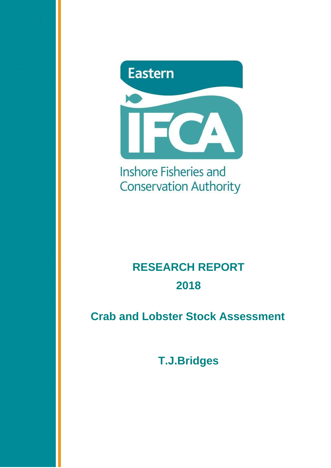

Inshore Fisheries and **Conservation Authority** 

# **RESEARCH REPORT 2018**

 **Crab and Lobster Stock Assessment** 

**T.J.Bridges**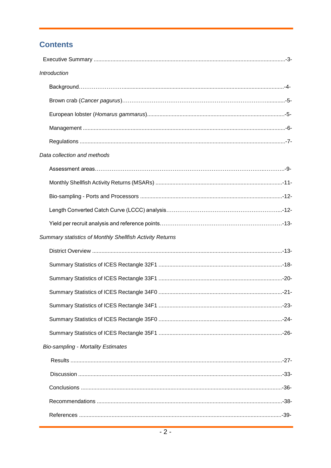# **Contents**

| Introduction                                             |  |
|----------------------------------------------------------|--|
|                                                          |  |
|                                                          |  |
|                                                          |  |
|                                                          |  |
|                                                          |  |
| Data collection and methods                              |  |
|                                                          |  |
|                                                          |  |
|                                                          |  |
|                                                          |  |
|                                                          |  |
| Summary statistics of Monthly Shellfish Activity Returns |  |
|                                                          |  |
|                                                          |  |
|                                                          |  |
|                                                          |  |
|                                                          |  |
|                                                          |  |
|                                                          |  |
| <b>Bio-sampling - Mortality Estimates</b>                |  |
|                                                          |  |
|                                                          |  |
|                                                          |  |
|                                                          |  |
|                                                          |  |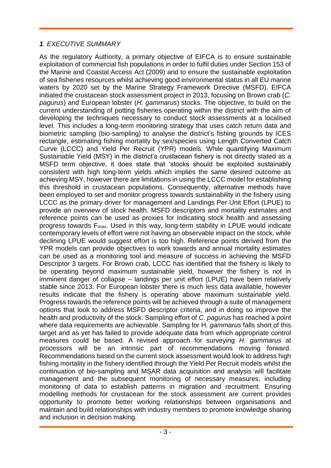#### *1. EXECUTIVE SUMMARY*

As the regulatory Authority, a primary objective of EIFCA is to ensure sustainable exploitation of commercial fish populations in order to fulfil duties under Section 153 of the Marine and Coastal Access Act (2009) and to ensure the sustainable exploitation of sea fisheries resources whilst achieving good environmental status in all EU marine waters by 2020 set by the Marine Strategy Framework Directive (MSFD). EIFCA initiated the crustacean stock assessment project in 2013, focusing on Brown crab (*C. pagurus*) and European lobster (*H. gammarus*) stocks. The objective, to build on the current understanding of potting fisheries operating within the district with the aim of developing the techniques necessary to conduct stock assessments at a localised level. This includes a long-term monitoring strategy that uses catch return data and biometric sampling (bio-sampling) to analyse the district's fishing grounds by ICES rectangle, estimating fishing mortality by sex/species using Length Converted Catch Curve (LCCC) and Yield Per Recruit (YPR) models. While quantifying Maximum Sustainable Yield (MSY) in the district's crustacean fishery is not directly stated as a MSFD term objective, it does state that 'stocks should be exploited sustainably consistent with high long-term yields which implies the same desired outcome as achieving MSY, however there are limitations in using the LCCC model for establishing this threshold in crustacean populations. Consequently, alternative methods have been employed to set and monitor progress towards sustainability in the fishery using LCCC as the primary driver for management and Landings Per Unit Effort (LPUE) to provide an overview of stock health. MSFD descriptors and mortality estimates and reference points can be used as proxies for indicating stock health and assessing progress towards Fmax. Used in this way, long-term stability in LPUE would indicate contemporary levels of effort were not having an observable impact on the stock, while declining LPUE would suggest effort is too high. Reference points derived from the YPR models can provide objectives to work towards and annual mortality estimates can be used as a monitoring tool and measure of success in achieving the MSFD Descriptor 3 targets. For Brown crab, LCCC has identified that the fishery is likely to be operating beyond maximum sustainable yield, however the fishery is not in imminent danger of collapse – landings per unit effort (LPUE) have been relatively stable since 2013. For European lobster there is much less data available, however results indicate that the fishery is operating above maximum sustainable yield. Progress towards the reference points will be achieved through a suite of management options that look to address MSFD descriptor criteria, and in doing so improve the health and productivity of the stock. Sampling effort of *C*. *pagurus* has reached a point where data requirements are achievable. Sampling for H. *gammarus* falls short of this target and as yet has failed to provide adequate data from which appropriate control measures could be based. A revised approach for surveying *H*. *gammarus* at processors will be an intrinsic part of recommendations moving forward. Recommendations based on the current stock assessment would look to address high fishing mortality in the fishery identified through the Yield Per Recruit models whilst the continuation of bio-sampling and MSAR data acquisition and analysis will facilitate management and the subsequent monitoring of necessary measures, including monitoring of data to establish patterns in migration and recruitment. Ensuring modelling methods for crustacean for the stock assessment are current provides opportunity to promote better working relationships between organisations and maintain and build relationships with industry members to promote knowledge sharing and inclusion in decision making.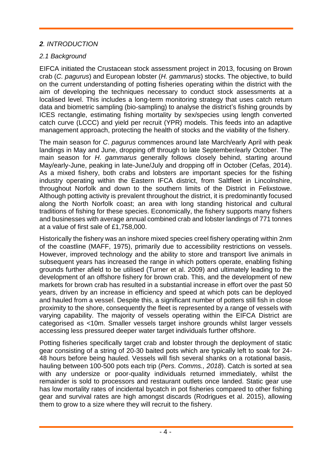#### *2. INTRODUCTION*

#### *2.1 Background*

EIFCA initiated the Crustacean stock assessment project in 2013, focusing on Brown crab (*C. pagurus*) and European lobster (*H. gammarus*) stocks. The objective, to build on the current understanding of potting fisheries operating within the district with the aim of developing the techniques necessary to conduct stock assessments at a localised level. This includes a long-term monitoring strategy that uses catch return data and biometric sampling (bio-sampling) to analyse the district's fishing grounds by ICES rectangle, estimating fishing mortality by sex/species using length converted catch curve (LCCC) and yield per recruit (YPR) models. This feeds into an adaptive management approach, protecting the health of stocks and the viability of the fishery.

The main season for *C*. *pagurus* commences around late March/early April with peak landings in May and June, dropping off through to late September/early October. The main season for *H*. *gammarus* generally follows closely behind, starting around May/early-June, peaking in late-June/July and dropping off in October (Cefas, 2014). As a mixed fishery, both crabs and lobsters are important species for the fishing industry operating within the Eastern IFCA district, from Saltfleet in Lincolnshire, throughout Norfolk and down to the southern limits of the District in Felixstowe. Although potting activity is prevalent throughout the district, it is predominantly focused along the North Norfolk coast; an area with long standing historical and cultural traditions of fishing for these species. Economically, the fishery supports many fishers and businesses with average annual combined crab and lobster landings of 771 tonnes at a value of first sale of £1,758,000.

Historically the fishery was an inshore mixed species creel fishery operating within 2nm of the coastline (MAFF, 1975), primarily due to accessibility restrictions on vessels. However, improved technology and the ability to store and transport live animals in subsequent years has increased the range in which potters operate, enabling fishing grounds further afield to be utilised (Turner et al. 2009) and ultimately leading to the development of an offshore fishery for brown crab. This, and the development of new markets for brown crab has resulted in a substantial increase in effort over the past 50 years, driven by an increase in efficiency and speed at which pots can be deployed and hauled from a vessel. Despite this, a significant number of potters still fish in close proximity to the shore, consequently the fleet is represented by a range of vessels with varying capability. The majority of vessels operating within the EIFCA District are categorised as <10m. Smaller vessels target inshore grounds whilst larger vessels accessing less pressured deeper water target individuals further offshore.

Potting fisheries specifically target crab and lobster through the deployment of static gear consisting of a string of 20-30 baited pots which are typically left to soak for 24- 48 hours before being hauled. Vessels will fish several shanks on a rotational basis, hauling between 100-500 pots each trip (*Pers. Comms., 2018*). Catch is sorted at sea with any undersize or poor-quality individuals returned immediately, whilst the remainder is sold to processors and restaurant outlets once landed. Static gear use has low mortality rates of incidental bycatch in pot fisheries compared to other fishing gear and survival rates are high amongst discards (Rodrigues et al. 2015), allowing them to grow to a size where they will recruit to the fishery.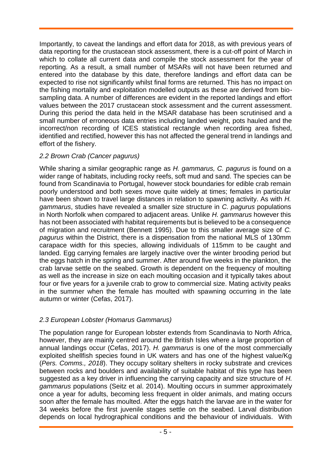Importantly, to caveat the landings and effort data for 2018, as with previous years of data reporting for the crustacean stock assessment, there is a cut-off point of March in which to collate all current data and compile the stock assessment for the year of reporting. As a result, a small number of MSARs will not have been returned and entered into the database by this date, therefore landings and effort data can be expected to rise not significantly whilst final forms are returned. This has no impact on the fishing mortality and exploitation modelled outputs as these are derived from biosampling data. A number of differences are evident in the reported landings and effort values between the 2017 crustacean stock assessment and the current assessment. During this period the data held in the MSAR database has been scrutinised and a small number of erroneous data entries including landed weight, pots hauled and the incorrect/non recording of ICES statistical rectangle when recording area fished, identified and rectified, however this has not affected the general trend in landings and effort of the fishery.

## *2.2 Brown Crab (Cancer pagurus)*

While sharing a similar geographic range as *H. gammarus, C. pagurus* is found on a wider range of habitats, including rocky reefs, soft mud and sand. The species can be found from Scandinavia to Portugal, however stock boundaries for edible crab remain poorly understood and both sexes move quite widely at times; females in particular have been shown to travel large distances in relation to spawning activity. As with *H. gammarus*, studies have revealed a smaller size structure in *C. pagurus* populations in North Norfolk when compared to adjacent areas. Unlike *H. gammarus* however this has not been associated with habitat requirements but is believed to be a consequence of migration and recruitment (Bennett 1995). Due to this smaller average size of *C. pagurus* within the District, there is a dispensation from the national MLS of 130mm carapace width for this species, allowing individuals of 115mm to be caught and landed. Egg carrying females are largely inactive over the winter brooding period but the eggs hatch in the spring and summer. After around five weeks in the plankton, the crab larvae settle on the seabed. Growth is dependent on the frequency of moulting as well as the increase in size on each moulting occasion and it typically takes about four or five years for a juvenile crab to grow to commercial size. Mating activity peaks in the summer when the female has moulted with spawning occurring in the late autumn or winter (Cefas, 2017).

# *2.3 European Lobster (Homarus Gammarus)*

The population range for European lobster extends from Scandinavia to North Africa, however, they are mainly centred around the British Isles where a large proportion of annual landings occur (Cefas, 2017). *H. gammarus* is one of the most commercially exploited shellfish species found in UK waters and has one of the highest value/Kg (*Pers. Comms., 2018*). They occupy solitary shelters in rocky substrate and crevices between rocks and boulders and availability of suitable habitat of this type has been suggested as a key driver in influencing the carrying capacity and size structure of *H. gammarus* populations (Seitz et al. 2014). Moulting occurs in summer approximately once a year for adults, becoming less frequent in older animals, and mating occurs soon after the female has moulted. After the eggs hatch the larvae are in the water for 34 weeks before the first juvenile stages settle on the seabed. Larval distribution depends on local hydrographical conditions and the behaviour of individuals. With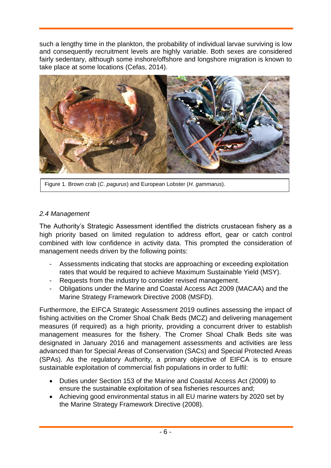such a lengthy time in the plankton, the probability of individual larvae surviving is low and consequently recruitment levels are highly variable. Both sexes are considered fairly sedentary, although some inshore/offshore and longshore migration is known to take place at some locations (Cefas, 2014).



Figure 1. Brown crab (*C*. *pagurus*) and European Lobster (*H*. *gammarus*).

#### *2.4 Management*

The Authority's Strategic Assessment identified the districts crustacean fishery as a high priority based on limited regulation to address effort, gear or catch control combined with low confidence in activity data. This prompted the consideration of management needs driven by the following points:

- Assessments indicating that stocks are approaching or exceeding exploitation rates that would be required to achieve Maximum Sustainable Yield (MSY).
- Requests from the industry to consider revised management.
- Obligations under the Marine and Coastal Access Act 2009 (MACAA) and the Marine Strategy Framework Directive 2008 (MSFD).

Furthermore, the EIFCA Strategic Assessment 2019 outlines assessing the impact of fishing activities on the Cromer Shoal Chalk Beds (MCZ) and delivering management measures (if required) as a high priority, providing a concurrent driver to establish management measures for the fishery. The Cromer Shoal Chalk Beds site was designated in January 2016 and management assessments and activities are less advanced than for Special Areas of Conservation (SACs) and Special Protected Areas (SPAs). As the regulatory Authority, a primary objective of EIFCA is to ensure sustainable exploitation of commercial fish populations in order to fulfil:

- Duties under Section 153 of the Marine and Coastal Access Act (2009) to ensure the sustainable exploitation of sea fisheries resources and;
- Achieving good environmental status in all EU marine waters by 2020 set by the Marine Strategy Framework Directive (2008).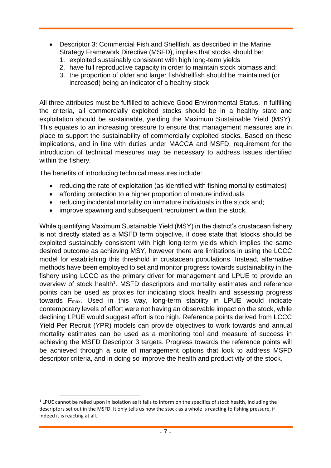- Descriptor 3: Commercial Fish and Shellfish, as described in the Marine Strategy Framework Directive (MSFD), implies that stocks should be:
	- 1. exploited sustainably consistent with high long-term yields
	- 2. have full reproductive capacity in order to maintain stock biomass and;
	- 3. the proportion of older and larger fish/shellfish should be maintained (or increased) being an indicator of a healthy stock

All three attributes must be fulfilled to achieve Good Environmental Status. In fulfilling the criteria, all commercially exploited stocks should be in a healthy state and exploitation should be sustainable, yielding the Maximum Sustainable Yield (MSY). This equates to an increasing pressure to ensure that management measures are in place to support the sustainability of commercially exploited stocks. Based on these implications, and in line with duties under MACCA and MSFD, requirement for the introduction of technical measures may be necessary to address issues identified within the fishery.

The benefits of introducing technical measures include:

- reducing the rate of exploitation (as identified with fishing mortality estimates)
- affording protection to a higher proportion of mature individuals
- reducing incidental mortality on immature individuals in the stock and;
- improve spawning and subsequent recruitment within the stock.

While quantifying Maximum Sustainable Yield (MSY) in the district's crustacean fishery is not directly stated as a MSFD term objective, it does state that 'stocks should be exploited sustainably consistent with high long-term yields which implies the same desired outcome as achieving MSY, however there are limitations in using the LCCC model for establishing this threshold in crustacean populations. Instead, alternative methods have been employed to set and monitor progress towards sustainability in the fishery using LCCC as the primary driver for management and LPUE to provide an overview of stock health<sup>1</sup>. MSFD descriptors and mortality estimates and reference points can be used as proxies for indicating stock health and assessing progress towards Fmax. Used in this way, long-term stability in LPUE would indicate contemporary levels of effort were not having an observable impact on the stock, while declining LPUE would suggest effort is too high. Reference points derived from LCCC Yield Per Recruit (YPR) models can provide objectives to work towards and annual mortality estimates can be used as a monitoring tool and measure of success in achieving the MSFD Descriptor 3 targets. Progress towards the reference points will be achieved through a suite of management options that look to address MSFD descriptor criteria, and in doing so improve the health and productivity of the stock.

l

 $1$  LPUE cannot be relied upon in isolation as it fails to inform on the specifics of stock health, including the descriptors set out in the MSFD. It only tells us how the stock as a whole is reacting to fishing pressure, if indeed it is reacting at all.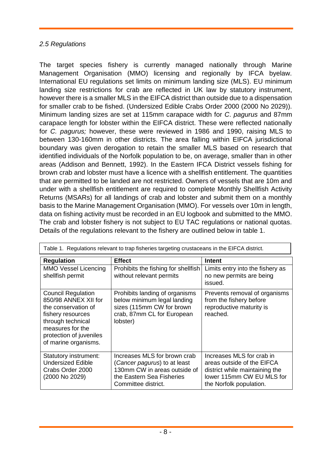#### *2.5 Regulations*

The target species fishery is currently managed nationally through Marine Management Organisation (MMO) licensing and regionally by IFCA byelaw. International EU regulations set limits on minimum landing size (MLS). EU minimum landing size restrictions for crab are reflected in UK law by statutory instrument, however there is a smaller MLS in the EIFCA district than outside due to a dispensation for smaller crab to be fished. (Undersized Edible Crabs Order 2000 (2000 No 2029)). Minimum landing sizes are set at 115mm carapace width for *C*. *pagurus* and 87mm carapace length for lobster within the EIFCA district. These were reflected nationally for *C. pagurus;* however, these were reviewed in 1986 and 1990, raising MLS to between 130-160mm in other districts. The area falling within EIFCA jurisdictional boundary was given derogation to retain the smaller MLS based on research that identified individuals of the Norfolk population to be, on average, smaller than in other areas (Addison and Bennett, 1992). In the Eastern IFCA District vessels fishing for brown crab and lobster must have a licence with a shellfish entitlement. The quantities that are permitted to be landed are not restricted. Owners of vessels that are 10m and under with a shellfish entitlement are required to complete Monthly Shellfish Activity Returns (MSARs) for all landings of crab and lobster and submit them on a monthly basis to the Marine Management Organisation (MMO). For vessels over 10m in length, data on fishing activity must be recorded in an EU logbook and submitted to the MMO. The crab and lobster fishery is not subject to EU TAC regulations or national quotas. Details of the regulations relevant to the fishery are outlined below in table 1.

| <b>Regulation</b>                                                                                                                                                                         | <b>Effect</b>                                                                                                                                    | <b>Intent</b>                                                                                                                                     |
|-------------------------------------------------------------------------------------------------------------------------------------------------------------------------------------------|--------------------------------------------------------------------------------------------------------------------------------------------------|---------------------------------------------------------------------------------------------------------------------------------------------------|
| <b>MMO Vessel Licencing</b><br>shellfish permit                                                                                                                                           | Prohibits the fishing for shellfish<br>without relevant permits                                                                                  | Limits entry into the fishery as<br>no new permits are being<br>issued.                                                                           |
| <b>Council Regulation</b><br>850/98 ANNEX XII for<br>the conservation of<br>fishery resources<br>through technical<br>measures for the<br>protection of juveniles<br>of marine organisms. | Prohibits landing of organisms<br>below minimum legal landing<br>sizes (115mm CW for brown<br>crab, 87mm CL for European<br>lobster)             | Prevents removal of organisms<br>from the fishery before<br>reproductive maturity is<br>reached.                                                  |
| Statutory instrument:<br><b>Undersized Edible</b><br>Crabs Order 2000<br>(2000 No 2029)                                                                                                   | Increases MLS for brown crab<br>(Cancer pagurus) to at least<br>130mm CW in areas outside of<br>the Eastern Sea Fisheries<br>Committee district. | Increases MLS for crab in<br>areas outside of the EIFCA<br>district while maintaining the<br>lower 115mm CW EU MLS for<br>the Norfolk population. |

Table 1. Regulations relevant to trap fisheries targeting crustaceans in the EIFCA district.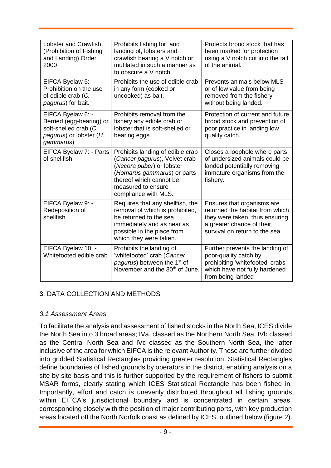| <b>Lobster and Crawfish</b><br>(Prohibition of Fishing<br>and Landing) Order<br>2000                           | Prohibits fishing for, and<br>landing of, lobsters and<br>crawfish bearing a V notch or<br>mutilated in such a manner as<br>to obscure a V notch.                                                      | Protects brood stock that has<br>been marked for protection<br>using a V notch cut into the tail<br>of the animal.                                             |
|----------------------------------------------------------------------------------------------------------------|--------------------------------------------------------------------------------------------------------------------------------------------------------------------------------------------------------|----------------------------------------------------------------------------------------------------------------------------------------------------------------|
| EIFCA Byelaw 5: -<br>Prohibition on the use<br>of edible crab (C.<br>pagurus) for bait.                        | Prohibits the use of edible crab<br>in any form (cooked or<br>uncooked) as bait.                                                                                                                       | Prevents animals below MLS<br>or of low value from being<br>removed from the fishery<br>without being landed.                                                  |
| EIFCA Byelaw 6: -<br>Berried (egg-bearing) or<br>soft-shelled crab (C.<br>pagurus) or lobster (H.<br>gammarus) | Prohibits removal from the<br>fishery any edible crab or<br>lobster that is soft-shelled or<br>bearing eggs.                                                                                           | Protection of current and future<br>brood stock and prevention of<br>poor practice in landing low<br>quality catch.                                            |
| EIFCA Byelaw 7: - Parts<br>of shellfish                                                                        | Prohibits landing of edible crab<br>(Cancer pagurus), Velvet crab<br>(Necora puber) or lobster<br>(Homarus gammarus) or parts<br>thereof which cannot be<br>measured to ensure<br>compliance with MLS. | Closes a loophole where parts<br>of undersized animals could be<br>landed potentially removing<br>immature organisms from the<br>fishery.                      |
| EIFCA Byelaw 9: -<br>Redeposition of<br>shellfish                                                              | Requires that any shellfish, the<br>removal of which is prohibited,<br>be returned to the sea<br>immediately and as near as<br>possible in the place from<br>which they were taken.                    | Ensures that organisms are<br>returned the habitat from which<br>they were taken, thus ensuring<br>a greater chance of their<br>survival on return to the sea. |
| EIFCA Byelaw 10: -<br>Whitefooted edible crab                                                                  | Prohibits the landing of<br>'whitefooted' crab (Cancer<br>pagurus) between the 1 <sup>st</sup> of<br>November and the 30 <sup>th</sup> of June.                                                        | Further prevents the landing of<br>poor-quality catch by<br>prohibiting 'whitefooted' crabs<br>which have not fully hardened<br>from being landed              |

#### **3**. DATA COLLECTION AND METHODS

#### *3.1 Assessment Areas*

To facilitate the analysis and assessment of fished stocks in the North Sea, ICES divide the North Sea into 3 broad areas; IVa, classed as the Northern North Sea, IVb classed as the Central North Sea and IVc classed as the Southern North Sea, the latter inclusive of the area for which EIFCA is the relevant Authority. These are further divided into gridded Statistical Rectangles providing greater resolution. Statistical Rectangles define boundaries of fished grounds by operators in the district, enabling analysis on a site by site basis and this is further supported by the requirement of fishers to submit MSAR forms, clearly stating which ICES Statistical Rectangle has been fished in. Importantly, effort and catch is unevenly distributed throughout all fishing grounds within EIFCA's jurisdictional boundary and is concentrated in certain areas, corresponding closely with the position of major contributing ports, with key production areas located off the North Norfolk coast as defined by ICES, outlined below (figure 2).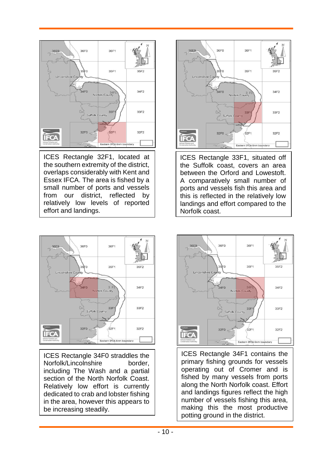

ICES Rectangle 32F1, located at the southern extremity of the district, overlaps considerably with Kent and Essex IFCA. The area is fished by a small number of ports and vessels from our district, reflected by relatively low levels of reported effort and landings.



ICES Rectangle 33F1, situated off the Suffolk coast, covers an area between the Orford and Lowestoft. A comparatively small number of ports and vessels fish this area and this is reflected in the relatively low landings and effort compared to the Norfolk coast.



ICES Rectangle 34F0 straddles the Norfolk/Lincolnshire border, including The Wash and a partial section of the North Norfolk Coast. Relatively low effort is currently dedicated to crab and lobster fishing in the area, however this appears to be increasing steadily.



ICES Rectangle 34F1 contains the primary fishing grounds for vessels operating out of Cromer and is fished by many vessels from ports along the North Norfolk coast. Effort and landings figures reflect the high number of vessels fishing this area, making this the most productive potting ground in the district.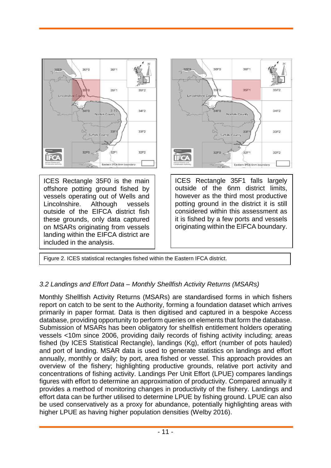

ICES Rectangle 35F0 is the main offshore potting ground fished by vessels operating out of Wells and Lincolnshire. Although vessels outside of the EIFCA district fish these grounds, only data captured on MSARs originating from vessels landing within the EIFCA district are included in the analysis.



ICES Rectangle 35F1 falls largely outside of the 6nm district limits, however as the third most productive potting ground in the district it is still considered within this assessment as it is fished by a few ports and vessels originating within the EIFCA boundary.

Figure 2. ICES statistical rectangles fished within the Eastern IFCA district.

#### *3.2 Landings and Effort Data – Monthly Shellfish Activity Returns (MSARs)*

Monthly Shellfish Activity Returns (MSARs) are standardised forms in which fishers report on catch to be sent to the Authority, forming a foundation dataset which arrives primarily in paper format. Data is then digitised and captured in a bespoke Access database, providing opportunity to perform queries on elements that form the database. Submission of MSARs has been obligatory for shellfish entitlement holders operating vessels <10m since 2006, providing daily records of fishing activity including; areas fished (by ICES Statistical Rectangle), landings (Kg), effort (number of pots hauled) and port of landing. MSAR data is used to generate statistics on landings and effort annually, monthly or daily; by port, area fished or vessel. This approach provides an overview of the fishery; highlighting productive grounds, relative port activity and concentrations of fishing activity. Landings Per Unit Effort (LPUE) compares landings figures with effort to determine an approximation of productivity. Compared annually it provides a method of monitoring changes in productivity of the fishery. Landings and effort data can be further utilised to determine LPUE by fishing ground. LPUE can also be used conservatively as a proxy for abundance, potentially highlighting areas with higher LPUE as having higher population densities (Welby 2016).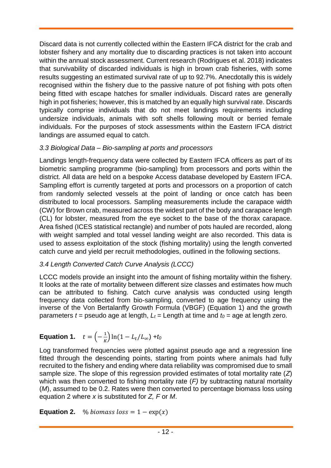Discard data is not currently collected within the Eastern IFCA district for the crab and lobster fishery and any mortality due to discarding practices is not taken into account within the annual stock assessment. Current research (Rodrigues et al. 2018) indicates that survivability of discarded individuals is high in brown crab fisheries, with some results suggesting an estimated survival rate of up to 92.7%. Anecdotally this is widely recognised within the fishery due to the passive nature of pot fishing with pots often being fitted with escape hatches for smaller individuals. Discard rates are generally high in pot fisheries; however, this is matched by an equally high survival rate. Discards typically comprise individuals that do not meet landings requirements including undersize individuals, animals with soft shells following moult or berried female individuals. For the purposes of stock assessments within the Eastern IFCA district landings are assumed equal to catch.

## *3.3 Biological Data – Bio-sampling at ports and processors*

Landings length-frequency data were collected by Eastern IFCA officers as part of its biometric sampling programme (bio-sampling) from processors and ports within the district. All data are held on a bespoke Access database developed by Eastern IFCA. Sampling effort is currently targeted at ports and processors on a proportion of catch from randomly selected vessels at the point of landing or once catch has been distributed to local processors. Sampling measurements include the carapace width (CW) for Brown crab, measured across the widest part of the body and carapace length (CL) for lobster, measured from the eye socket to the base of the thorax carapace. Area fished (ICES statistical rectangle) and number of pots hauled are recorded, along with weight sampled and total vessel landing weight are also recorded. This data is used to assess exploitation of the stock (fishing mortality) using the length converted catch curve and yield per recruit methodologies, outlined in the following sections.

# *3.4 Length Converted Catch Curve Analysis (LCCC)*

LCCC models provide an insight into the amount of fishing mortality within the fishery. It looks at the rate of mortality between different size classes and estimates how much can be attributed to fishing. Catch curve analysis was conducted using length frequency data collected from bio-sampling, converted to age frequency using the inverse of the Von Bertalanffy Growth Formula (VBGF) (Equation 1) and the growth parameters  $t =$  pseudo age at length,  $L_t =$  Length at time and  $t_0 =$  age at length zero.

#### **Equation 1.**  $t = \left(-\frac{1}{\nu}\right)$  $\frac{1}{K}$ ) ln(1 –  $L_t/L_{\infty}$ ) +  $t_0$

Log transformed frequencies were plotted against pseudo age and a regression line fitted through the descending points, starting from points where animals had fully recruited to the fishery and ending where data reliability was compromised due to small sample size. The slope of this regression provided estimates of total mortality rate (*Z*) which was then converted to fishing mortality rate (*F)* by subtracting natural mortality (*M*), assumed to be 0.2. Rates were then converted to percentage biomass loss using equation 2 where *x* is substituted for *Z, F* or *M*.

**Equation 2.** %  $\%$  biomass  $\text{loss} = 1 - \exp(x)$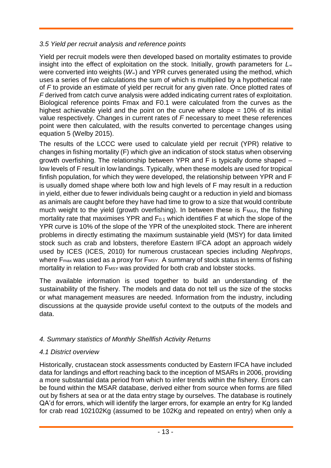## *3.5 Yield per recruit analysis and reference points*

Yield per recruit models were then developed based on mortality estimates to provide insight into the effect of exploitation on the stock. Initially, growth parameters for *L<sup>∞</sup>* were converted into weights (*W∞*) and YPR curves generated using the method, which uses a series of five calculations the sum of which is multiplied by a hypothetical rate of *F* to provide an estimate of yield per recruit for any given rate. Once plotted rates of *F* derived from catch curve analysis were added indicating current rates of exploitation. Biological reference points Fmax and F0.1 were calculated from the curves as the highest achievable yield and the point on the curve where slope  $= 10\%$  of its initial value respectively. Changes in current rates of *F* necessary to meet these references point were then calculated, with the results converted to percentage changes using equation 5 (Welby 2015).

The results of the LCCC were used to calculate yield per recruit (YPR) relative to changes in fishing mortality (F) which give an indication of stock status when observing growth overfishing. The relationship between YPR and F is typically dome shaped – low levels of F result in low landings. Typically, when these models are used for tropical finfish population, for which they were developed, the relationship between YPR and F is usually domed shape where both low and high levels of F may result in a reduction in yield, either due to fewer individuals being caught or a reduction in yield and biomass as animals are caught before they have had time to grow to a size that would contribute much weight to the yield (growth overfishing). In between these is  $F_{MAX}$ , the fishing mortality rate that maximises YPR and F<sub>0.1</sub> which identifies F at which the slope of the YPR curve is 10% of the slope of the YPR of the unexploited stock. There are inherent problems in directly estimating the maximum sustainable yield (MSY) for data limited stock such as crab and lobsters, therefore Eastern IFCA adopt an approach widely used by ICES (ICES, 2010) for numerous crustacean species including *Nephrops*, where  $F_{\text{max}}$  was used as a proxy for  $F_{\text{MSY}}$ . A summary of stock status in terms of fishing mortality in relation to FMSY was provided for both crab and lobster stocks.

The available information is used together to build an understanding of the sustainability of the fishery. The models and data do not tell us the size of the stocks or what management measures are needed. Information from the industry, including discussions at the quayside provide useful context to the outputs of the models and data.

# *4. Summary statistics of Monthly Shellfish Activity Returns*

# *4.1 District overview*

Historically, crustacean stock assessments conducted by Eastern IFCA have included data for landings and effort reaching back to the inception of MSARs in 2006, providing a more substantial data period from which to infer trends within the fishery. Errors can be found within the MSAR database, derived either from source when forms are filled out by fishers at sea or at the data entry stage by ourselves. The database is routinely QA'd for errors, which will identify the larger errors, for example an entry for Kg landed for crab read 102102Kg (assumed to be 102Kg and repeated on entry) when only a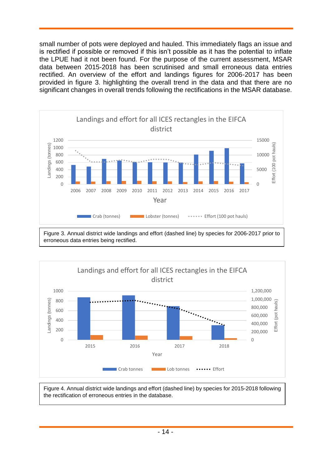small number of pots were deployed and hauled. This immediately flags an issue and is rectified if possible or removed if this isn't possible as it has the potential to inflate the LPUE had it not been found. For the purpose of the current assessment, MSAR data between 2015-2018 has been scrutinised and small erroneous data entries rectified. An overview of the effort and landings figures for 2006-2017 has been provided in figure 3. highlighting the overall trend in the data and that there are no significant changes in overall trends following the rectifications in the MSAR database.



erroneous data entries being rectified.



Figure 4. Annual district wide landings and effort (dashed line) by species for 2015-2018 following the rectification of erroneous entries in the database.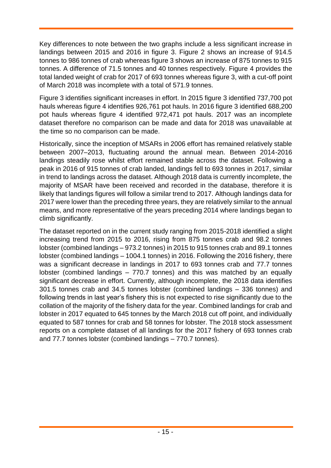Key differences to note between the two graphs include a less significant increase in landings between 2015 and 2016 in figure 3. Figure 2 shows an increase of 914.5 tonnes to 986 tonnes of crab whereas figure 3 shows an increase of 875 tonnes to 915 tonnes. A difference of 71.5 tonnes and 40 tonnes respectively. Figure 4 provides the total landed weight of crab for 2017 of 693 tonnes whereas figure 3, with a cut-off point of March 2018 was incomplete with a total of 571.9 tonnes.

Figure 3 identifies significant increases in effort. In 2015 figure 3 identified 737,700 pot hauls whereas figure 4 identifies 926,761 pot hauls. In 2016 figure 3 identified 688,200 pot hauls whereas figure 4 identified 972,471 pot hauls. 2017 was an incomplete dataset therefore no comparison can be made and data for 2018 was unavailable at the time so no comparison can be made.

Historically, since the inception of MSARs in 2006 effort has remained relatively stable between 2007–2013, fluctuating around the annual mean. Between 2014-2016 landings steadily rose whilst effort remained stable across the dataset. Following a peak in 2016 of 915 tonnes of crab landed, landings fell to 693 tonnes in 2017, similar in trend to landings across the dataset. Although 2018 data is currently incomplete, the majority of MSAR have been received and recorded in the database, therefore it is likely that landings figures will follow a similar trend to 2017. Although landings data for 2017 were lower than the preceding three years, they are relatively similar to the annual means, and more representative of the years preceding 2014 where landings began to climb significantly.

The dataset reported on in the current study ranging from 2015-2018 identified a slight increasing trend from 2015 to 2016, rising from 875 tonnes crab and 98.2 tonnes lobster (combined landings – 973.2 tonnes) in 2015 to 915 tonnes crab and 89.1 tonnes lobster (combined landings – 1004.1 tonnes) in 2016. Following the 2016 fishery, there was a significant decrease in landings in 2017 to 693 tonnes crab and 77.7 tonnes lobster (combined landings – 770.7 tonnes) and this was matched by an equally significant decrease in effort. Currently, although incomplete, the 2018 data identifies 301.5 tonnes crab and 34.5 tonnes lobster (combined landings – 336 tonnes) and following trends in last year's fishery this is not expected to rise significantly due to the collation of the majority of the fishery data for the year. Combined landings for crab and lobster in 2017 equated to 645 tonnes by the March 2018 cut off point, and individually equated to 587 tonnes for crab and 58 tonnes for lobster. The 2018 stock assessment reports on a complete dataset of all landings for the 2017 fishery of 693 tonnes crab and 77.7 tonnes lobster (combined landings – 770.7 tonnes).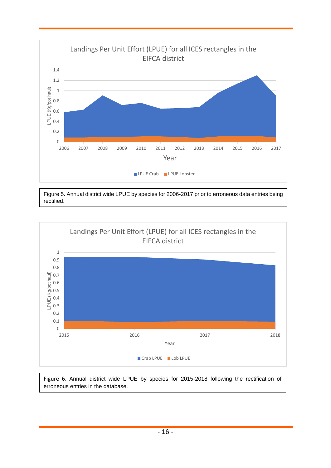

Figure 5. Annual district wide LPUE by species for 2006-2017 prior to erroneous data entries being rectified.



Figure 6. Annual district wide LPUE by species for 2015-2018 following the rectification of erroneous entries in the database.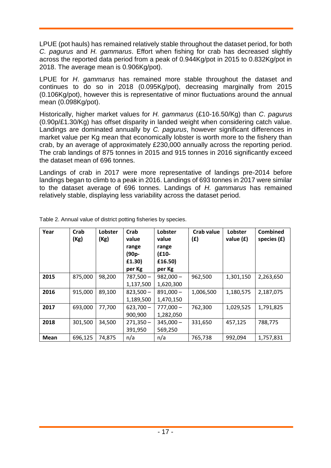LPUE (pot hauls) has remained relatively stable throughout the dataset period, for both *C. pagurus* and *H. gammarus*. Effort when fishing for crab has decreased slightly across the reported data period from a peak of 0.944Kg/pot in 2015 to 0.832Kg/pot in 2018. The average mean is 0.906Kg/pot).

LPUE for *H*. *gammarus* has remained more stable throughout the dataset and continues to do so in 2018 (0.095Kg/pot), decreasing marginally from 2015 (0.106Kg/pot), however this is representative of minor fluctuations around the annual mean (0.098Kg/pot).

Historically, higher market values for *H. gammarus* (£10-16.50/Kg) than *C*. *pagurus*  (0.90p/£1.30/Kg) has offset disparity in landed weight when considering catch value. Landings are dominated annually by *C. pagurus*, however significant differences in market value per Kg mean that economically lobster is worth more to the fishery than crab, by an average of approximately £230,000 annually across the reporting period. The crab landings of 875 tonnes in 2015 and 915 tonnes in 2016 significantly exceed the dataset mean of 696 tonnes.

Landings of crab in 2017 were more representative of landings pre-2014 before landings began to climb to a peak in 2016. Landings of 693 tonnes in 2017 were similar to the dataset average of 696 tonnes. Landings of *H. gammarus* has remained relatively stable, displaying less variability across the dataset period.

| Year        | Crab<br>(Kg) | Lobster<br>(Kg) | Crab<br>value<br>range<br>(90p-<br>£1.30) | Lobster<br>value<br>range<br>$(E10 -$<br>£16.50) | Crab value<br>(£) | Lobster<br>value $(f)$ | <b>Combined</b><br>species $(f)$ |
|-------------|--------------|-----------------|-------------------------------------------|--------------------------------------------------|-------------------|------------------------|----------------------------------|
|             |              |                 | per Kg                                    | per Kg                                           |                   |                        |                                  |
| 2015        | 875,000      | 98,200          | $787,500 -$                               | $982,000 -$                                      | 962,500           | 1,301,150              | 2,263,650                        |
|             |              |                 | 1,137,500                                 | 1,620,300                                        |                   |                        |                                  |
| 2016        | 915,000      | 89,100          | $823,500 -$                               | $891,000 -$                                      | 1,006,500         | 1,180,575              | 2,187,075                        |
|             |              |                 | 1,189,500                                 | 1,470,150                                        |                   |                        |                                  |
| 2017        | 693,000      | 77,700          | $623,700 -$                               | $777,000 -$                                      | 762,300           | 1,029,525              | 1,791,825                        |
|             |              |                 | 900,900                                   | 1,282,050                                        |                   |                        |                                  |
| 2018        | 301,500      | 34,500          | $271,350 -$                               | $345,000 -$                                      | 331,650           | 457,125                | 788,775                          |
|             |              |                 | 391,950                                   | 569,250                                          |                   |                        |                                  |
| <b>Mean</b> | 696,125      | 74,875          | n/a                                       | n/a                                              | 765,738           | 992,094                | 1,757,831                        |

Table 2. Annual value of district potting fisheries by species.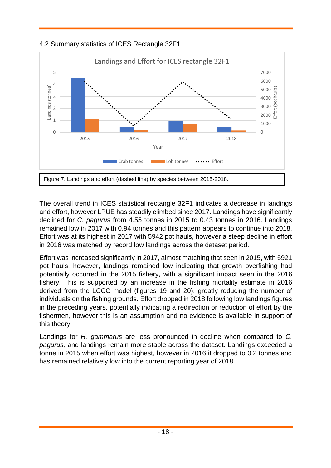



The overall trend in ICES statistical rectangle 32F1 indicates a decrease in landings and effort, however LPUE has steadily climbed since 2017. Landings have significantly declined for *C. pagurus* from 4.55 tonnes in 2015 to 0.43 tonnes in 2016. Landings remained low in 2017 with 0.94 tonnes and this pattern appears to continue into 2018. Effort was at its highest in 2017 with 5942 pot hauls, however a steep decline in effort in 2016 was matched by record low landings across the dataset period.

Effort was increased significantly in 2017, almost matching that seen in 2015, with 5921 pot hauls, however, landings remained low indicating that growth overfishing had potentially occurred in the 2015 fishery, with a significant impact seen in the 2016 fishery. This is supported by an increase in the fishing mortality estimate in 2016 derived from the LCCC model (figures 19 and 20), greatly reducing the number of individuals on the fishing grounds. Effort dropped in 2018 following low landings figures in the preceding years, potentially indicating a redirection or reduction of effort by the fishermen, however this is an assumption and no evidence is available in support of this theory.

Landings for *H. gammarus* are less pronounced in decline when compared to *C. pagurus,* and landings remain more stable across the dataset. Landings exceeded a tonne in 2015 when effort was highest, however in 2016 it dropped to 0.2 tonnes and has remained relatively low into the current reporting year of 2018.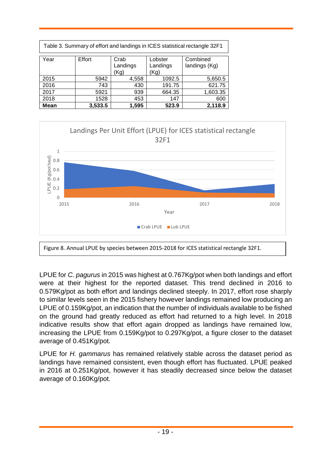| Table 3. Summary of effort and landings in ICES statistical rectangle 32F1 |         |                          |                             |                           |  |
|----------------------------------------------------------------------------|---------|--------------------------|-----------------------------|---------------------------|--|
| Year                                                                       | Effort  | Crab<br>Landings<br>(Kg) | Lobster<br>Landings<br>(Kg) | Combined<br>landings (Kg) |  |
| 2015                                                                       | 5942    | 4,558                    | 1092.5                      | 5,650.5                   |  |
| 2016                                                                       | 743     | 430                      | 191.75                      | 621.75                    |  |
| 2017                                                                       | 5921    | 939                      | 664.35                      | 1,603.35                  |  |
| 2018                                                                       | 1528    | 453                      | 147                         | 600                       |  |
| <b>Mean</b>                                                                | 3,533.5 | 1,595                    | 523.9                       | 2,118.9                   |  |



LPUE for *C. pagurus* in 2015 was highest at 0.767Kg/pot when both landings and effort were at their highest for the reported dataset. This trend declined in 2016 to 0.579Kg/pot as both effort and landings declined steeply. In 2017, effort rose sharply to similar levels seen in the 2015 fishery however landings remained low producing an LPUE of 0.159Kg/pot, an indication that the number of individuals available to be fished on the ground had greatly reduced as effort had returned to a high level. In 2018 indicative results show that effort again dropped as landings have remained low, increasing the LPUE from 0.159Kg/pot to 0.297Kg/pot, a figure closer to the dataset average of 0.451Kg/pot.

LPUE for *H. gammarus* has remained relatively stable across the dataset period as landings have remained consistent, even though effort has fluctuated. LPUE peaked in 2016 at 0.251Kg/pot, however it has steadily decreased since below the dataset average of 0.160Kg/pot.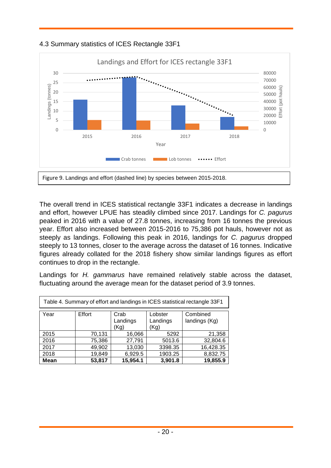



The overall trend in ICES statistical rectangle 33F1 indicates a decrease in landings and effort, however LPUE has steadily climbed since 2017. Landings for *C. pagurus*  peaked in 2016 with a value of 27.8 tonnes, increasing from 16 tonnes the previous year. Effort also increased between 2015-2016 to 75,386 pot hauls, however not as steeply as landings. Following this peak in 2016, landings for *C. pagurus* dropped steeply to 13 tonnes, closer to the average across the dataset of 16 tonnes. Indicative figures already collated for the 2018 fishery show similar landings figures as effort continues to drop in the rectangle.

Landings for *H. gammarus* have remained relatively stable across the dataset, fluctuating around the average mean for the dataset period of 3.9 tonnes.

| Table 4. Summary of effort and landings in ICES statistical rectangle 33F1 |                             |                           |         |           |  |
|----------------------------------------------------------------------------|-----------------------------|---------------------------|---------|-----------|--|
| Year                                                                       | Lobster<br>Landings<br>(Kg) | Combined<br>landings (Kg) |         |           |  |
| 2015                                                                       | 70,131                      | 16,066                    | 5292    | 21,358    |  |
| 2016                                                                       | 75,386                      | 27,791                    | 5013.6  | 32,804.6  |  |
| 2017                                                                       | 49,902                      | 13,030                    | 3398.35 | 16,428.35 |  |
| 2018                                                                       | 19,849                      | 6,929.5                   | 1903.25 | 8,832.75  |  |
| <b>Mean</b>                                                                | 53,817                      | 15,954.1                  | 3,901.8 | 19,855.9  |  |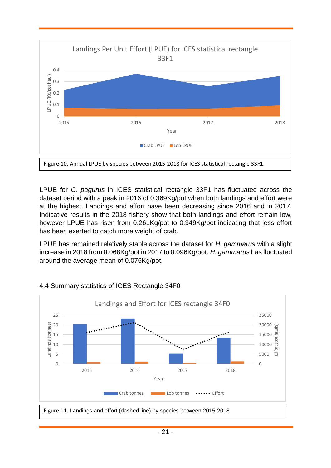

LPUE for *C. pagurus* in ICES statistical rectangle 33F1 has fluctuated across the dataset period with a peak in 2016 of 0.369Kg/pot when both landings and effort were at the highest. Landings and effort have been decreasing since 2016 and in 2017. Indicative results in the 2018 fishery show that both landings and effort remain low, however LPUE has risen from 0.261Kg/pot to 0.349Kg/pot indicating that less effort has been exerted to catch more weight of crab.

LPUE has remained relatively stable across the dataset for *H. gammarus* with a slight increase in 2018 from 0.068Kg/pot in 2017 to 0.096Kg/pot. *H. gammarus* has fluctuated around the average mean of 0.076Kg/pot.



#### 4.4 Summary statistics of ICES Rectangle 34F0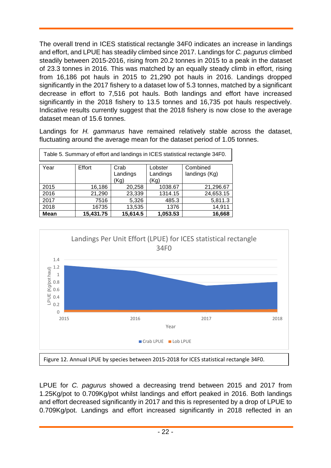The overall trend in ICES statistical rectangle 34F0 indicates an increase in landings and effort, and LPUE has steadily climbed since 2017. Landings for *C. pagurus* climbed steadily between 2015-2016, rising from 20.2 tonnes in 2015 to a peak in the dataset of 23.3 tonnes in 2016. This was matched by an equally steady climb in effort, rising from 16,186 pot hauls in 2015 to 21,290 pot hauls in 2016. Landings dropped significantly in the 2017 fishery to a dataset low of 5.3 tonnes, matched by a significant decrease in effort to 7,516 pot hauls. Both landings and effort have increased significantly in the 2018 fishery to 13.5 tonnes and 16,735 pot hauls respectively. Indicative results currently suggest that the 2018 fishery is now close to the average dataset mean of 15.6 tonnes.

Landings for *H. gammarus* have remained relatively stable across the dataset, fluctuating around the average mean for the dataset period of 1.05 tonnes.

| Table 5. Summary of effort and landings in ICES statistical rectangle 34F0. |           |                          |                             |                           |  |
|-----------------------------------------------------------------------------|-----------|--------------------------|-----------------------------|---------------------------|--|
| Year                                                                        | Effort    | Crab<br>Landings<br>(Kg) | Lobster<br>Landings<br>(Kg) | Combined<br>landings (Kg) |  |
| 2015                                                                        | 16,186    | 20,258                   | 1038.67                     | 21,296.67                 |  |
| 2016                                                                        | 21,290    | 23,339                   | 1314.15                     | 24,653.15                 |  |
| 2017                                                                        | 7516      | 5,326                    | 485.3                       | 5,811.3                   |  |
| 2018                                                                        | 16735     | 13,535                   | 1376                        | 14,911                    |  |
| <b>Mean</b>                                                                 | 15,431.75 | 15,614.5                 | 1,053.53                    | 16,668                    |  |



LPUE for *C. pagurus* showed a decreasing trend between 2015 and 2017 from 1.25Kg/pot to 0.709Kg/pot whilst landings and effort peaked in 2016. Both landings and effort decreased significantly in 2017 and this is represented by a drop of LPUE to 0.709Kg/pot. Landings and effort increased significantly in 2018 reflected in an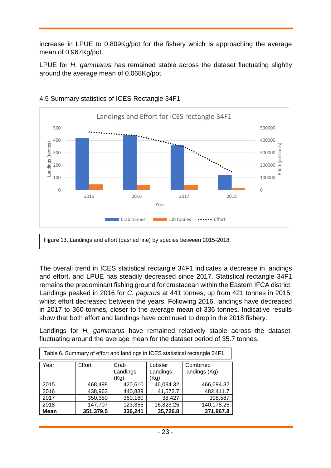increase in LPUE to 0.809Kg/pot for the fishery which is approaching the average mean of 0.967Kg/pot.

LPUE for *H. gammarus* has remained stable across the dataset fluctuating slightly around the average mean of 0.068Kg/pot.



#### 4.5 Summary statistics of ICES Rectangle 34F1

Figure 13. Landings and effort (dashed line) by species between 2015-2018.

The overall trend in ICES statistical rectangle 34F1 indicates a decrease in landings and effort, and LPUE has steadily decreased since 2017. Statistical rectangle 34F1 remains the predominant fishing ground for crustacean within the Eastern IFCA district. Landings peaked in 2016 for *C. pagurus* at 441 tonnes, up from 421 tonnes in 2015, whilst effort decreased between the years. Following 2016, landings have decreased in 2017 to 360 tonnes, closer to the average mean of 336 tonnes. Indicative results show that both effort and landings have continued to drop in the 2018 fishery.

Landings for *H. gammarus* have remained relatively stable across the dataset, fluctuating around the average mean for the dataset period of 35.7 tonnes.

| Table 6. Summary of effort and landings in ICES statistical rectangle 34F1. |           |                          |                             |                           |  |
|-----------------------------------------------------------------------------|-----------|--------------------------|-----------------------------|---------------------------|--|
| Year                                                                        | Effort    | Crab<br>Landings<br>(Kg) | Lobster<br>Landings<br>(Kg) | Combined<br>landings (Kg) |  |
| 2015                                                                        | 468,498   | 420,610                  | 46,084.32                   | 466,694.32                |  |
| 2016                                                                        | 438,963   | 440,839                  | 41,572.7                    | 482,411.7                 |  |
| 2017                                                                        | 350,350   | 360,160                  | 38,427                      | 398,587                   |  |
| 2018                                                                        | 147,707   | 123,355                  | 16,823.25                   | 140,178.25                |  |
| <b>Mean</b>                                                                 | 351,379.5 | 336,241                  | 35,726.8                    | 371,967.8                 |  |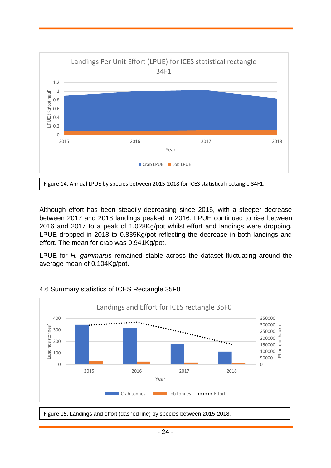

Although effort has been steadily decreasing since 2015, with a steeper decrease between 2017 and 2018 landings peaked in 2016. LPUE continued to rise between 2016 and 2017 to a peak of 1.028Kg/pot whilst effort and landings were dropping. LPUE dropped in 2018 to 0.835Kg/pot reflecting the decrease in both landings and effort. The mean for crab was 0.941Kg/pot.

LPUE for *H. gammarus* remained stable across the dataset fluctuating around the average mean of 0.104Kg/pot.



#### 4.6 Summary statistics of ICES Rectangle 35F0

Figure 15. Landings and effort (dashed line) by species between 2015-2018.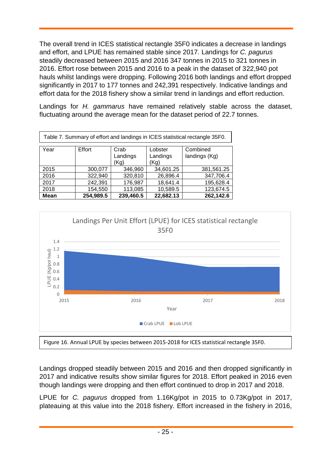The overall trend in ICES statistical rectangle 35F0 indicates a decrease in landings and effort, and LPUE has remained stable since 2017. Landings for *C. pagurus* steadily decreased between 2015 and 2016 347 tonnes in 2015 to 321 tonnes in 2016. Effort rose between 2015 and 2016 to a peak in the dataset of 322,940 pot hauls whilst landings were dropping. Following 2016 both landings and effort dropped significantly in 2017 to 177 tonnes and 242,391 respectively. Indicative landings and effort data for the 2018 fishery show a similar trend in landings and effort reduction.

Landings for *H. gammarus* have remained relatively stable across the dataset, fluctuating around the average mean for the dataset period of 22.7 tonnes.

| Table 7. Summary of effort and landings in ICES statistical rectangle 35F0.                            |           |           |           |            |  |  |
|--------------------------------------------------------------------------------------------------------|-----------|-----------|-----------|------------|--|--|
| Year<br>Effort<br>Combined<br>Crab<br>Lobster<br>Landings<br>landings (Kg)<br>Landings<br>(Kg)<br>(Kg) |           |           |           |            |  |  |
| 2015                                                                                                   | 300,077   | 346,960   | 34,601.25 | 381,561.25 |  |  |
| 2016                                                                                                   | 322,940   | 320,810   | 26,896.4  | 347,706.4  |  |  |
| 2017                                                                                                   | 242,391   | 176,987   | 18,641.4  | 195,628.4  |  |  |
| 2018                                                                                                   | 154,550   | 113,085   | 10,589.5  | 123,674.5  |  |  |
| <b>Mean</b>                                                                                            | 254,989.5 | 239,460.5 | 22,682.13 | 262,142.6  |  |  |



Landings dropped steadily between 2015 and 2016 and then dropped significantly in 2017 and indicative results show similar figures for 2018. Effort peaked in 2016 even though landings were dropping and then effort continued to drop in 2017 and 2018.

LPUE for *C. pagurus* dropped from 1.16Kg/pot in 2015 to 0.73Kg/pot in 2017, plateauing at this value into the 2018 fishery. Effort increased in the fishery in 2016,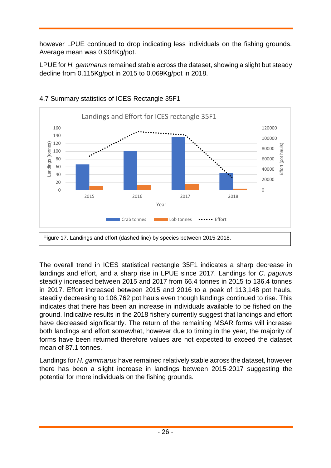however LPUE continued to drop indicating less individuals on the fishing grounds. Average mean was 0.904Kg/pot.

LPUE for *H. gammarus* remained stable across the dataset, showing a slight but steady decline from 0.115Kg/pot in 2015 to 0.069Kg/pot in 2018.



# 4.7 Summary statistics of ICES Rectangle 35F1

The overall trend in ICES statistical rectangle 35F1 indicates a sharp decrease in landings and effort, and a sharp rise in LPUE since 2017. Landings for *C. pagurus* steadily increased between 2015 and 2017 from 66.4 tonnes in 2015 to 136.4 tonnes in 2017. Effort increased between 2015 and 2016 to a peak of 113,148 pot hauls, steadily decreasing to 106,762 pot hauls even though landings continued to rise. This indicates that there has been an increase in individuals available to be fished on the ground. Indicative results in the 2018 fishery currently suggest that landings and effort have decreased significantly. The return of the remaining MSAR forms will increase both landings and effort somewhat, however due to timing in the year, the majority of forms have been returned therefore values are not expected to exceed the dataset mean of 87.1 tonnes.

Landings for *H. gammarus* have remained relatively stable across the dataset, however there has been a slight increase in landings between 2015-2017 suggesting the potential for more individuals on the fishing grounds.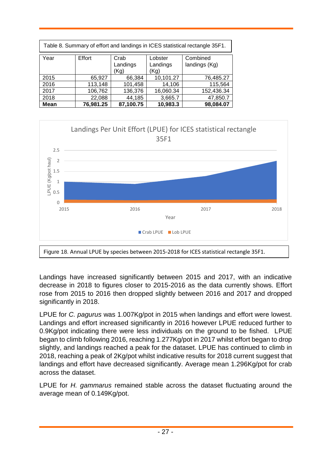| Table 8. Summary of effort and landings in ICES statistical rectangle 35F1. |                                                                                                |           |           |            |  |  |
|-----------------------------------------------------------------------------|------------------------------------------------------------------------------------------------|-----------|-----------|------------|--|--|
| Year                                                                        | Effort<br>Combined<br>Crab<br>Lobster<br>Landings<br>Landings<br>landings (Kg)<br>(Kg)<br>(Kg) |           |           |            |  |  |
| 2015                                                                        | 65,927                                                                                         | 66,384    | 10,101.27 | 76,485.27  |  |  |
| 2016                                                                        | 113,148                                                                                        | 101,458   | 14,106    | 115,564    |  |  |
| 2017                                                                        | 106,762                                                                                        | 136,376   | 16,060.34 | 152,436.34 |  |  |
| 2018                                                                        | 22,088                                                                                         | 44,185    | 3,665.7   | 47,850.7   |  |  |
| <b>Mean</b>                                                                 | 76,981.25                                                                                      | 87,100.75 | 10,983.3  | 98,084.07  |  |  |



Landings have increased significantly between 2015 and 2017, with an indicative decrease in 2018 to figures closer to 2015-2016 as the data currently shows. Effort rose from 2015 to 2016 then dropped slightly between 2016 and 2017 and dropped significantly in 2018.

LPUE for *C. pagurus* was 1.007Kg/pot in 2015 when landings and effort were lowest. Landings and effort increased significantly in 2016 however LPUE reduced further to 0.9Kg/pot indicating there were less individuals on the ground to be fished. LPUE began to climb following 2016, reaching 1.277Kg/pot in 2017 whilst effort began to drop slightly, and landings reached a peak for the dataset. LPUE has continued to climb in 2018, reaching a peak of 2Kg/pot whilst indicative results for 2018 current suggest that landings and effort have decreased significantly. Average mean 1.296Kg/pot for crab across the dataset.

LPUE for *H. gammarus* remained stable across the dataset fluctuating around the average mean of 0.149Kg/pot.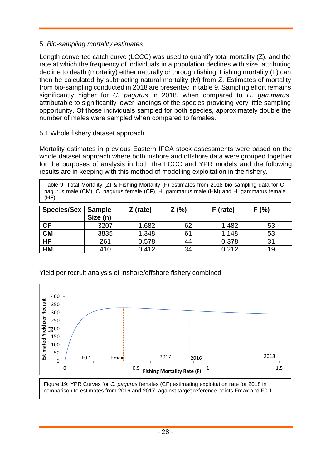#### 5. *Bio-sampling mortality estimates*

Length converted catch curve (LCCC) was used to quantify total mortality (Z), and the rate at which the frequency of individuals in a population declines with size, attributing decline to death (mortality) either naturally or through fishing. Fishing mortality (F) can then be calculated by subtracting natural mortality (M) from Z. Estimates of mortality from bio-sampling conducted in 2018 are presented in table 9. Sampling effort remains significantly higher for *C. pagurus* in 2018, when compared to *H. gammarus*, attributable to significantly lower landings of the species providing very little sampling opportunity. Of those individuals sampled for both species, approximately double the number of males were sampled when compared to females.

#### 5.1 Whole fishery dataset approach

Mortality estimates in previous Eastern IFCA stock assessments were based on the whole dataset approach where both inshore and offshore data were grouped together for the purposes of analysis in both the LCCC and YPR models and the following results are in keeping with this method of modelling exploitation in the fishery.

Table 9: Total Mortality (Z) & Fishing Mortality (F) estimates from 2018 bio-sampling data for C. pagurus male (CM), C. pagurus female (CF), H. gammarus male (HM) and H. gammarus female  $(HF)$ .

| Species/Sex   Sample | Size (n) | $Z$ (rate) | Z (%) | F (rate) | F(% ) |
|----------------------|----------|------------|-------|----------|-------|
| <b>CF</b>            | 3207     | 1.682      | 62    | 1.482    | 53    |
| <b>CM</b>            | 3835     | 1.348      | 61    | 1.148    | 53    |
| <b>HF</b>            | 261      | 0.578      | 44    | 0.378    | 31    |
| <b>HM</b>            | 410      | 0.412      | 34    | 0.212    | 19    |

#### Yield per recruit analysis of inshore/offshore fishery combined



Figure 19: YPR Curves for *C. pagurus* females (CF) estimating exploitation rate for 2018 in comparison to estimates from 2016 and 2017, against target reference points Fmax and F0.1.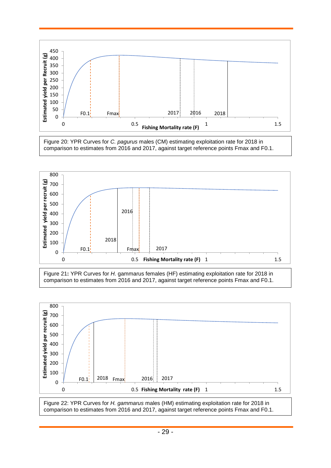

Figure 20: YPR Curves for *C. pagurus* males (CM) estimating exploitation rate for 2018 in comparison to estimates from 2016 and 2017, against target reference points Fmax and F0.1.



Figure 21**:** YPR Curves for *H.* gammarus females (HF) estimating exploitation rate for 2018 in comparison to estimates from 2016 and 2017, against target reference points Fmax and F0.1.



Figure 22: YPR Curves for *H. gammarus* males (HM) estimating exploitation rate for 2018 in comparison to estimates from 2016 and 2017, against target reference points Fmax and F0.1.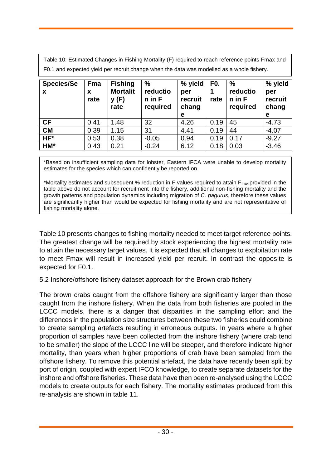Table 10: Estimated Changes in Fishing Mortality (F) required to reach reference points Fmax and F0.1 and expected yield per recruit change when the data was modelled as a whole fishery.

| <b>Species/Se</b><br>X | <b>Fma</b><br>X<br>rate | <b>Fishing</b><br><b>Mortalit</b><br>y(F)<br>rate | $\frac{0}{0}$<br>reductio<br>$n$ in $F$<br>required | % yield<br>per<br>recruit<br>chang<br>е | F <sub>0</sub> .<br>rate | %<br>reductio<br>$n$ in F<br>required | % yield<br>per<br>recruit<br>chang<br>е |
|------------------------|-------------------------|---------------------------------------------------|-----------------------------------------------------|-----------------------------------------|--------------------------|---------------------------------------|-----------------------------------------|
| <b>CF</b>              | 0.41                    | 1.48                                              | 32                                                  | 4.26                                    | 0.19                     | 45                                    | $-4.73$                                 |
| <b>CM</b>              | 0.39                    | 1.15                                              | 31                                                  | 4.41                                    | 0.19                     | 44                                    | $-4.07$                                 |
| HF*                    | 0.53                    | 0.38                                              | $-0.05$                                             | 0.94                                    | 0.19                     | 0.17                                  | $-9.27$                                 |
| HM*                    | 0.43                    | 0.21                                              | $-0.24$                                             | 6.12                                    | 0.18                     | 0.03                                  | $-3.46$                                 |

\*Based on insufficient sampling data for lobster, Eastern IFCA were unable to develop mortality estimates for the species which can confidently be reported on.

\*Mortality estimates and subsequent % reduction in F values required to attain  $F_{\text{max}}$  provided in the table above do not account for recruitment into the fishery, additional non-fishing mortality and the growth patterns and population dynamics including migration of *C. pagurus*, therefore these values are significantly higher than would be expected for fishing mortality and are not representative of fishing mortality alone.

Table 10 presents changes to fishing mortality needed to meet target reference points. The greatest change will be required by stock experiencing the highest mortality rate to attain the necessary target values. It is expected that all changes to exploitation rate to meet Fmax will result in increased yield per recruit. In contrast the opposite is expected for F0.1.

5.2 Inshore/offshore fishery dataset approach for the Brown crab fishery

The brown crabs caught from the offshore fishery are significantly larger than those caught from the inshore fishery. When the data from both fisheries are pooled in the LCCC models, there is a danger that disparities in the sampling effort and the differences in the population size structures between these two fisheries could combine to create sampling artefacts resulting in erroneous outputs. In years where a higher proportion of samples have been collected from the inshore fishery (where crab tend to be smaller) the slope of the LCCC line will be steeper, and therefore indicate higher mortality, than years when higher proportions of crab have been sampled from the offshore fishery. To remove this potential artefact, the data have recently been split by port of origin, coupled with expert IFCO knowledge, to create separate datasets for the inshore and offshore fisheries. These data have then been re-analysed using the LCCC models to create outputs for each fishery. The mortality estimates produced from this re-analysis are shown in table 11.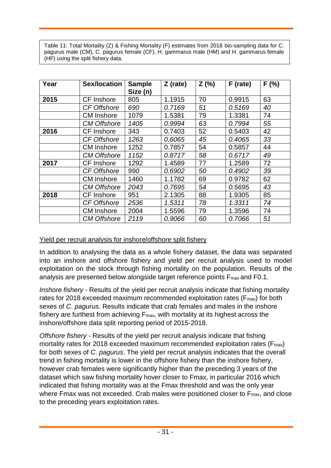Table 11: Total Mortality (Z) & Fishing Mortality (F) estimates from 2018 bio-sampling data for C. pagurus male (CM), C. pagurus female (CF), H. gammarus male (HM) and H. gammarus female (HF) using the split fishery data.

| Year | <b>Sex/location</b> | <b>Sample</b><br>Size (n) | $Z$ (rate) | Z(%) | F (rate) | F(% ) |
|------|---------------------|---------------------------|------------|------|----------|-------|
| 2015 | <b>CF</b> Inshore   | 805                       | 1.1915     | 70   | 0.9915   | 63    |
|      | CF Offshore         | 690                       | 0.7169     | 51   | 0.5169   | 40    |
|      | <b>CM</b> Inshore   | 1079                      | 1.5381     | 79   | 1.3381   | 74    |
|      | <b>CM Offshore</b>  | 1405                      | 0.9994     | 63   | 0.7994   | 55    |
| 2016 | <b>CF</b> Inshore   | 343                       | 0.7403     | 52   | 0.5403   | 42    |
|      | <b>CF Offshore</b>  | 1263                      | 0.6065     | 45   | 0.4065   | 33    |
|      | <b>CM</b> Inshore   | 1252                      | 0.7857     | 54   | 0.5857   | 44    |
|      | <b>CM Offshore</b>  | 1152                      | 0.8717     | 58   | 0.6717   | 49    |
| 2017 | <b>CF</b> Inshore   | 1292                      | 1.4589     | 77   | 1.2589   | 72    |
|      | <b>CF Offshore</b>  | 990                       | 0.6902     | 50   | 0.4902   | 39    |
|      | <b>CM</b> Inshore   | 1460                      | 1.1782     | 69   | 0.9782   | 62    |
|      | <b>CM Offshore</b>  | 2043                      | 0.7695     | 54   | 0.5695   | 43    |
| 2018 | <b>CF</b> Inshore   | 951                       | 2.1305     | 88   | 1.9305   | 85    |
|      | <b>CF Offshore</b>  | 2536                      | 1.5311     | 78   | 1.3311   | 74    |
|      | <b>CM</b> Inshore   | 2004                      | 1.5596     | 79   | 1.3596   | 74    |
|      | <b>CM Offshore</b>  | 2119                      | 0.9066     | 60   | 0.7066   | 51    |

#### Yield per recruit analysis for inshore/offshore split fishery

In addition to analysing the data as a whole fishery dataset, the data was separated into an inshore and offshore fishery and yield per recruit analysis used to model exploitation on the stock through fishing mortality on the population. Results of the analysis are presented below alongside target reference points Fmax and F0.1.

*Inshore fishery -* Results of the yield per recruit analysis indicate that fishing mortality rates for 2018 exceeded maximum recommended exploitation rates (F<sub>max</sub>) for both sexes of *C*. *pagurus*. Results indicate that crab females and males in the inshore fishery are furthest from achieving Fmax, with mortality at its highest across the inshore/offshore data split reporting period of 2015-2018.

*Offshore fishery -* Results of the yield per recruit analysis indicate that fishing mortality rates for 2018 exceeded maximum recommended exploitation rates ( $F_{\text{max}}$ ) for both sexes of *C*. *pagurus*. The yield per recruit analysis indicates that the overall trend in fishing mortality is lower in the offshore fishery than the inshore fishery, however crab females were significantly higher than the preceding 3 years of the dataset which saw fishing mortality hover closer to Fmax, in particular 2016 which indicated that fishing mortality was at the Fmax threshold and was the only year where Fmax was not exceeded. Crab males were positioned closer to F<sub>max</sub>, and close to the preceding years exploitation rates.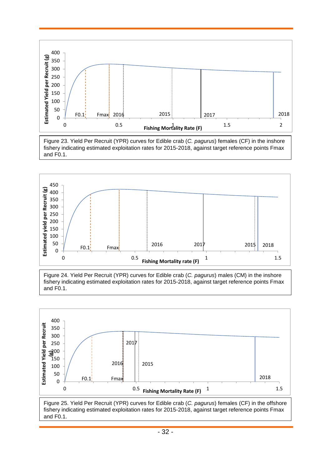

Figure 23. Yield Per Recruit (YPR) curves for Edible crab (*C. pagurus*) females (CF) in the inshore fishery indicating estimated exploitation rates for 2015-2018, against target reference points Fmax and F0.1.



Figure 24. Yield Per Recruit (YPR) curves for Edible crab (*C. pagurus*) males (CM) in the inshore fishery indicating estimated exploitation rates for 2015-2018, against target reference points Fmax and F0.1.



Figure 25. Yield Per Recruit (YPR) curves for Edible crab (*C. pagurus*) females (CF) in the offshore fishery indicating estimated exploitation rates for 2015-2018, against target reference points Fmax and F0.1.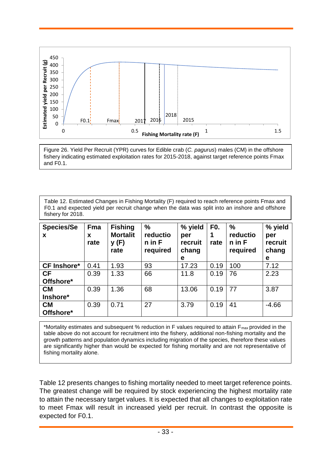

Figure 26. Yield Per Recruit (YPR) curves for Edible crab (*C. pagurus*) males (CM) in the offshore fishery indicating estimated exploitation rates for 2015-2018, against target reference points Fmax and F0.1.

Table 12. Estimated Changes in Fishing Mortality (F) required to reach reference points Fmax and F0.1 and expected yield per recruit change when the data was split into an inshore and offshore fishery for 2018.

| <b>Species/Se</b><br>X | <b>Fma</b><br>X<br>rate | <b>Fishing</b><br><b>Mortalit</b><br>y(F)<br>rate | $\frac{0}{0}$<br>reductio<br>$n$ in $F$<br>required | % yield<br>per<br>recruit<br>chang<br>е | FO.<br>rate | $\frac{0}{0}$<br>reductio<br>$n$ in F<br>required | % yield<br>per<br>recruit<br>chang<br>е |
|------------------------|-------------------------|---------------------------------------------------|-----------------------------------------------------|-----------------------------------------|-------------|---------------------------------------------------|-----------------------------------------|
| <b>CF Inshore*</b>     | 0.41                    | 1.93                                              | 93                                                  | 17.23                                   | 0.19        | 100                                               | 7.12                                    |
| <b>CF</b>              | 0.39                    | 1.33                                              | 66                                                  | 11.8                                    | 0.19        | 76                                                | 2.23                                    |
| Offshore*              |                         |                                                   |                                                     |                                         |             |                                                   |                                         |
| <b>CM</b>              | 0.39                    | 1.36                                              | 68                                                  | 13.06                                   | 0.19        | 77                                                | 3.87                                    |
| Inshore*               |                         |                                                   |                                                     |                                         |             |                                                   |                                         |
| <b>CM</b><br>Offshore* | 0.39                    | 0.71                                              | 27                                                  | 3.79                                    | 0.19        | 41                                                | $-4.66$                                 |

\*Mortality estimates and subsequent % reduction in F values required to attain  $F_{max}$  provided in the table above do not account for recruitment into the fishery, additional non-fishing mortality and the growth patterns and population dynamics including migration of the species, therefore these values are significantly higher than would be expected for fishing mortality and are not representative of fishing mortality alone.

Table 12 presents changes to fishing mortality needed to meet target reference points. The greatest change will be required by stock experiencing the highest mortality rate to attain the necessary target values. It is expected that all changes to exploitation rate to meet Fmax will result in increased yield per recruit. In contrast the opposite is expected for F0.1.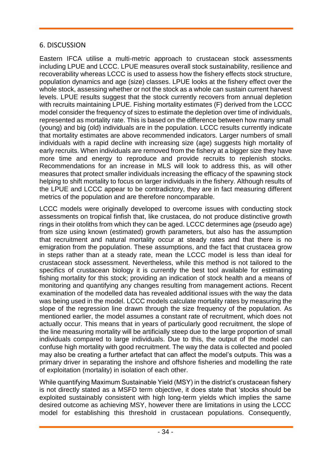#### 6. DISCUSSION

Eastern IFCA utilise a multi-metric approach to crustacean stock assessments including LPUE and LCCC. LPUE measures overall stock sustainability, resilience and recoverability whereas LCCC is used to assess how the fishery effects stock structure, population dynamics and age (size) classes. LPUE looks at the fishery effect over the whole stock, assessing whether or not the stock as a whole can sustain current harvest levels. LPUE results suggest that the stock currently recovers from annual depletion with recruits maintaining LPUE. Fishing mortality estimates (F) derived from the LCCC model consider the frequency of sizes to estimate the depletion over time of individuals, represented as mortality rate. This is based on the difference between how many small (young) and big (old) individuals are in the population. LCCC results currently indicate that mortality estimates are above recommended indicators. Larger numbers of small individuals with a rapid decline with increasing size (age) suggests high mortality of early recruits. When individuals are removed from the fishery at a bigger size they have more time and energy to reproduce and provide recruits to replenish stocks. Recommendations for an increase in MLS will look to address this, as will other measures that protect smaller individuals increasing the efficacy of the spawning stock helping to shift mortality to focus on larger individuals in the fishery. Although results of the LPUE and LCCC appear to be contradictory, they are in fact measuring different metrics of the population and are therefore noncomparable.

LCCC models were originally developed to overcome issues with conducting stock assessments on tropical finfish that, like crustacea, do not produce distinctive growth rings in their otoliths from which they can be aged. LCCC determines age (pseudo age) from size using known (estimated) growth parameters, but also has the assumption that recruitment and natural mortality occur at steady rates and that there is no emigration from the population. These assumptions, and the fact that crustacea grow in steps rather than at a steady rate, mean the LCCC model is less than ideal for crustacean stock assessment. Nevertheless, while this method is not tailored to the specifics of crustacean biology it is currently the best tool available for estimating fishing mortality for this stock; providing an indication of stock health and a means of monitoring and quantifying any changes resulting from management actions. Recent examination of the modelled data has revealed additional issues with the way the data was being used in the model. LCCC models calculate mortality rates by measuring the slope of the regression line drawn through the size frequency of the population. As mentioned earlier, the model assumes a constant rate of recruitment, which does not actually occur. This means that in years of particularly good recruitment, the slope of the line measuring mortality will be artificially steep due to the large proportion of small individuals compared to large individuals. Due to this, the output of the model can confuse high mortality with good recruitment. The way the data is collected and pooled may also be creating a further artefact that can affect the model's outputs. This was a primary driver in separating the inshore and offshore fisheries and modelling the rate of exploitation (mortality) in isolation of each other.

While quantifying Maximum Sustainable Yield (MSY) in the district's crustacean fishery is not directly stated as a MSFD term objective, it does state that 'stocks should be exploited sustainably consistent with high long-term yields which implies the same desired outcome as achieving MSY, however there are limitations in using the LCCC model for establishing this threshold in crustacean populations. Consequently,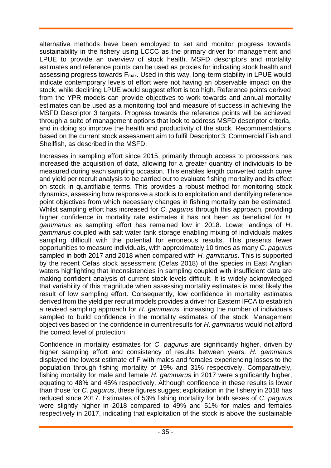alternative methods have been employed to set and monitor progress towards sustainability in the fishery using LCCC as the primary driver for management and LPUE to provide an overview of stock health. MSFD descriptors and mortality estimates and reference points can be used as proxies for indicating stock health and assessing progress towards  $F_{\text{max}}$ . Used in this way, long-term stability in LPUE would indicate contemporary levels of effort were not having an observable impact on the stock, while declining LPUE would suggest effort is too high. Reference points derived from the YPR models can provide objectives to work towards and annual mortality estimates can be used as a monitoring tool and measure of success in achieving the MSFD Descriptor 3 targets. Progress towards the reference points will be achieved through a suite of management options that look to address MSFD descriptor criteria, and in doing so improve the health and productivity of the stock. Recommendations based on the current stock assessment aim to fulfil Descriptor 3: Commercial Fish and Shellfish, as described in the MSFD.

Increases in sampling effort since 2015, primarily through access to processors has increased the acquisition of data, allowing for a greater quantity of individuals to be measured during each sampling occasion. This enables length converted catch curve and yield per recruit analysis to be carried out to evaluate fishing mortality and its effect on stock in quantifiable terms. This provides a robust method for monitoring stock dynamics, assessing how responsive a stock is to exploitation and identifying reference point objectives from which necessary changes in fishing mortality can be estimated. Whilst sampling effort has increased for *C*. *pagurus* through this approach, providing higher confidence in mortality rate estimates it has not been as beneficial for *H*. *gammarus* as sampling effort has remained low in 2018. Lower landings of *H*. *gammarus* coupled with salt water tank storage enabling mixing of individuals makes sampling difficult with the potential for erroneous results. This presents fewer opportunities to measure individuals, with approximately 10 times as many *C*. *pagurus* sampled in both 2017 and 2018 when compared with *H. gammarus*. This is supported by the recent Cefas stock assessment (Cefas 2018) of the species in East Anglian waters highlighting that inconsistencies in sampling coupled with insufficient data are making confident analysis of current stock levels difficult. It is widely acknowledged that variability of this magnitude when assessing mortality estimates is most likely the result of low sampling effort. Consequently, low confidence in mortality estimates derived from the yield per recruit models provides a driver for Eastern IFCA to establish a revised sampling approach for *H. gammarus,* increasing the number of individuals sampled to build confidence in the mortality estimates of the stock. Management objectives based on the confidence in current results for *H*. *gammarus* would not afford the correct level of protection.

Confidence in mortality estimates for *C*. *pagurus* are significantly higher, driven by higher sampling effort and consistency of results between years. *H. gammarus*  displayed the lowest estimate of F with males and females experiencing losses to the population through fishing mortality of 19% and 31% respectively. Comparatively, fishing mortality for male and female *H. gammarus* in 2017 were significantly higher, equating to 48% and 45% respectively. Although confidence in these results is lower than those for *C. pagurus*, these figures suggest exploitation in the fishery in 2018 has reduced since 2017. Estimates of 53% fishing mortality for both sexes of *C*. *pagurus*  were slightly higher in 2018 compared to 49% and 51% for males and females respectively in 2017, indicating that exploitation of the stock is above the sustainable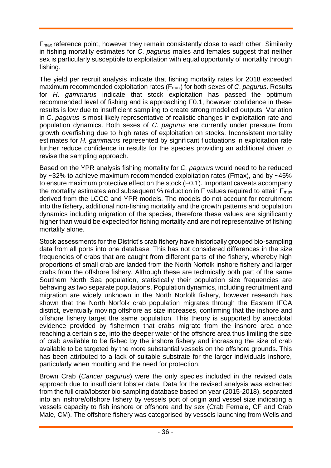Fmax reference point, however they remain consistently close to each other. Similarity in fishing mortality estimates for *C*. *pagurus* males and females suggest that neither sex is particularly susceptible to exploitation with equal opportunity of mortality through fishing.

The yield per recruit analysis indicate that fishing mortality rates for 2018 exceeded maximum recommended exploitation rates (Fmax) for both sexes of *C*. *pagurus*. Results for *H*. *gammarus* indicate that stock exploitation has passed the optimum recommended level of fishing and is approaching F0.1, however confidence in these results is low due to insufficient sampling to create strong modelled outputs. Variation in *C*. *pagurus* is most likely representative of realistic changes in exploitation rate and population dynamics. Both sexes of *C. pagurus* are currently under pressure from growth overfishing due to high rates of exploitation on stocks. Inconsistent mortality estimates for *H. gammarus* represented by significant fluctuations in exploitation rate further reduce confidence in results for the species providing an additional driver to revise the sampling approach.

Based on the YPR analysis fishing mortality for *C. pagurus* would need to be reduced by ~32% to achieve maximum recommended exploitation rates (Fmax), and by ~45% to ensure maximum protective effect on the stock (F0.1). Important caveats accompany the mortality estimates and subsequent % reduction in F values required to attain F<sub>max</sub> derived from the LCCC and YPR models. The models do not account for recruitment into the fishery, additional non-fishing mortality and the growth patterns and population dynamics including migration of the species, therefore these values are significantly higher than would be expected for fishing mortality and are not representative of fishing mortality alone.

Stock assessments for the District's crab fishery have historically grouped bio-sampling data from all ports into one database. This has not considered differences in the size frequencies of crabs that are caught from different parts of the fishery, whereby high proportions of small crab are landed from the North Norfolk inshore fishery and larger crabs from the offshore fishery. Although these are technically both part of the same Southern North Sea population, statistically their population size frequencies are behaving as two separate populations. Population dynamics, including recruitment and migration are widely unknown in the North Norfolk fishery, however research has shown that the North Norfolk crab population migrates through the Eastern IFCA district, eventually moving offshore as size increases, confirming that the inshore and offshore fishery target the same population. This theory is supported by anecdotal evidence provided by fishermen that crabs migrate from the inshore area once reaching a certain size, into the deeper water of the offshore area thus limiting the size of crab available to be fished by the inshore fishery and increasing the size of crab available to be targeted by the more substantial vessels on the offshore grounds. This has been attributed to a lack of suitable substrate for the larger individuals inshore, particularly when moulting and the need for protection.

Brown Crab (*Cancer pagurus*) were the only species included in the revised data approach due to insufficient lobster data. Data for the revised analysis was extracted from the full crab/lobster bio-sampling database based on year (2015-2018), separated into an inshore/offshore fishery by vessels port of origin and vessel size indicating a vessels capacity to fish inshore or offshore and by sex (Crab Female, CF and Crab Male, CM). The offshore fishery was categorised by vessels launching from Wells and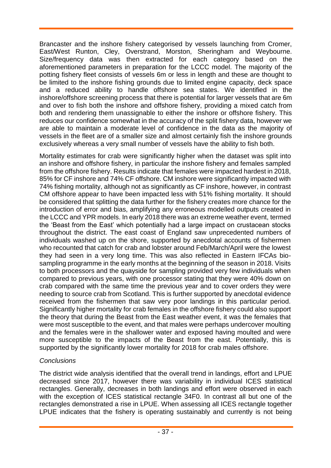Brancaster and the inshore fishery categorised by vessels launching from Cromer, East/West Runton, Cley, Overstrand, Morston, Sheringham and Weybourne. Size/frequency data was then extracted for each category based on the aforementioned parameters in preparation for the LCCC model. The majority of the potting fishery fleet consists of vessels 6m or less in length and these are thought to be limited to the inshore fishing grounds due to limited engine capacity, deck space and a reduced ability to handle offshore sea states. We identified in the inshore/offshore screening process that there is potential for larger vessels that are 6m and over to fish both the inshore and offshore fishery, providing a mixed catch from both and rendering them unassignable to either the inshore or offshore fishery. This reduces our confidence somewhat in the accuracy of the split fishery data, however we are able to maintain a moderate level of confidence in the data as the majority of vessels in the fleet are of a smaller size and almost certainly fish the inshore grounds exclusively whereas a very small number of vessels have the ability to fish both.

Mortality estimates for crab were significantly higher when the dataset was split into an inshore and offshore fishery, in particular the inshore fishery and females sampled from the offshore fishery. Results indicate that females were impacted hardest in 2018, 85% for CF inshore and 74% CF offshore. CM inshore were significantly impacted with 74% fishing mortality, although not as significantly as CF inshore, however, in contrast CM offshore appear to have been impacted less with 51% fishing mortality. It should be considered that splitting the data further for the fishery creates more chance for the introduction of error and bias, amplifying any erroneous modelled outputs created in the LCCC and YPR models. In early 2018 there was an extreme weather event, termed the 'Beast from the East' which potentially had a large impact on crustacean stocks throughout the district. The east coast of England saw unprecedented numbers of individuals washed up on the shore, supported by anecdotal accounts of fishermen who recounted that catch for crab and lobster around Feb/March/April were the lowest they had seen in a very long time. This was also reflected in Eastern IFCAs biosampling programme in the early months at the beginning of the season in 2018. Visits to both processors and the quayside for sampling provided very few individuals when compared to previous years, with one processor stating that they were 40% down on crab compared with the same time the previous year and to cover orders they were needing to source crab from Scotland. This is further supported by anecdotal evidence received from the fishermen that saw very poor landings in this particular period. Significantly higher mortality for crab females in the offshore fishery could also support the theory that during the Beast from the East weather event, it was the females that were most susceptible to the event, and that males were perhaps undercover moulting and the females were in the shallower water and exposed having moulted and were more susceptible to the impacts of the Beast from the east. Potentially, this is supported by the significantly lower mortality for 2018 for crab males offshore.

#### *Conclusions*

The district wide analysis identified that the overall trend in landings, effort and LPUE decreased since 2017, however there was variability in individual ICES statistical rectangles. Generally, decreases in both landings and effort were observed in each with the exception of ICES statistical rectangle 34F0. In contrast all but one of the rectangles demonstrated a rise in LPUE. When assessing all ICES rectangle together LPUE indicates that the fishery is operating sustainably and currently is not being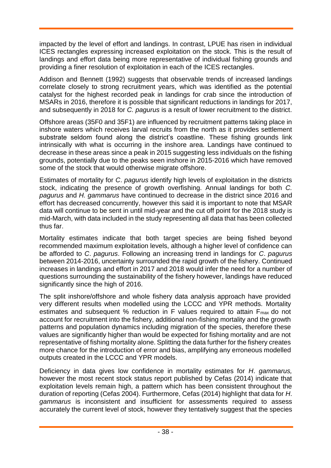impacted by the level of effort and landings. In contrast, LPUE has risen in individual ICES rectangles expressing increased exploitation on the stock. This is the result of landings and effort data being more representative of individual fishing grounds and providing a finer resolution of exploitation in each of the ICES rectangles.

Addison and Bennett (1992) suggests that observable trends of increased landings correlate closely to strong recruitment years, which was identified as the potential catalyst for the highest recorded peak in landings for crab since the introduction of MSARs in 2016, therefore it is possible that significant reductions in landings for 2017, and subsequently in 2018 for *C. pagurus* is a result of lower recruitment to the district.

Offshore areas (35F0 and 35F1) are influenced by recruitment patterns taking place in inshore waters which receives larval recruits from the north as it provides settlement substrate seldom found along the district's coastline. These fishing grounds link intrinsically with what is occurring in the inshore area. Landings have continued to decrease in these areas since a peak in 2015 suggesting less individuals on the fishing grounds, potentially due to the peaks seen inshore in 2015-2016 which have removed some of the stock that would otherwise migrate offshore.

Estimates of mortality for *C*. *pagurus* identify high levels of exploitation in the districts stock, indicating the presence of growth overfishing. Annual landings for both *C. pagurus* and *H. gammarus* have continued to decrease in the district since 2016 and effort has decreased concurrently, however this said it is important to note that MSAR data will continue to be sent in until mid-year and the cut off point for the 2018 study is mid-March, with data included in the study representing all data that has been collected thus far.

Mortality estimates indicate that both target species are being fished beyond recommended maximum exploitation levels, although a higher level of confidence can be afforded to *C*. *pagurus*. Following an increasing trend in landings for *C*. *pagurus*  between 2014-2016, uncertainty surrounded the rapid growth of the fishery. Continued increases in landings and effort in 2017 and 2018 would infer the need for a number of questions surrounding the sustainability of the fishery however, landings have reduced significantly since the high of 2016.

The split inshore/offshore and whole fishery data analysis approach have provided very different results when modelled using the LCCC and YPR methods. Mortality estimates and subsequent % reduction in F values required to attain F<sub>max</sub> do not account for recruitment into the fishery, additional non-fishing mortality and the growth patterns and population dynamics including migration of the species, therefore these values are significantly higher than would be expected for fishing mortality and are not representative of fishing mortality alone. Splitting the data further for the fishery creates more chance for the introduction of error and bias, amplifying any erroneous modelled outputs created in the LCCC and YPR models.

Deficiency in data gives low confidence in mortality estimates for *H*. *gammarus,*  however the most recent stock status report published by Cefas (2014) indicate that exploitation levels remain high, a pattern which has been consistent throughout the duration of reporting (Cefas 2004). Furthermore, Cefas (2014) highlight that data for *H*. *gammarus* is inconsistent and insufficient for assessments required to assess accurately the current level of stock, however they tentatively suggest that the species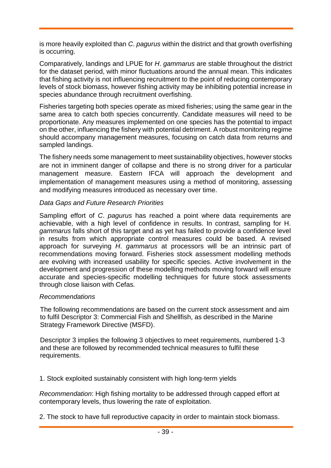is more heavily exploited than *C*. *pagurus* within the district and that growth overfishing is occurring.

Comparatively, landings and LPUE for *H*. *gammarus* are stable throughout the district for the dataset period, with minor fluctuations around the annual mean. This indicates that fishing activity is not influencing recruitment to the point of reducing contemporary levels of stock biomass, however fishing activity may be inhibiting potential increase in species abundance through recruitment overfishing.

Fisheries targeting both species operate as mixed fisheries; using the same gear in the same area to catch both species concurrently. Candidate measures will need to be proportionate. Any measures implemented on one species has the potential to impact on the other, influencing the fishery with potential detriment. A robust monitoring regime should accompany management measures, focusing on catch data from returns and sampled landings.

The fishery needs some management to meet sustainability objectives, however stocks are not in imminent danger of collapse and there is no strong driver for a particular management measure. Eastern IFCA will approach the development and implementation of management measures using a method of monitoring, assessing and modifying measures introduced as necessary over time.

#### *Data Gaps and Future Research Priorities*

Sampling effort of *C*. *pagurus* has reached a point where data requirements are achievable, with a high level of confidence in results. In contrast, sampling for H. *gammarus* falls short of this target and as yet has failed to provide a confidence level in results from which appropriate control measures could be based. A revised approach for surveying *H*. *gammarus* at processors will be an intrinsic part of recommendations moving forward. Fisheries stock assessment modelling methods are evolving with increased usability for specific species. Active involvement in the development and progression of these modelling methods moving forward will ensure accurate and species-specific modelling techniques for future stock assessments through close liaison with Cefas.

#### *Recommendations*

The following recommendations are based on the current stock assessment and aim to fulfil Descriptor 3: Commercial Fish and Shellfish, as described in the Marine Strategy Framework Directive (MSFD).

Descriptor 3 implies the following 3 objectives to meet requirements, numbered 1-3 and these are followed by recommended technical measures to fulfil these requirements.

1. Stock exploited sustainably consistent with high long-term yields

*Recommendation*: High fishing mortality to be addressed through capped effort at contemporary levels, thus lowering the rate of exploitation.

2. The stock to have full reproductive capacity in order to maintain stock biomass.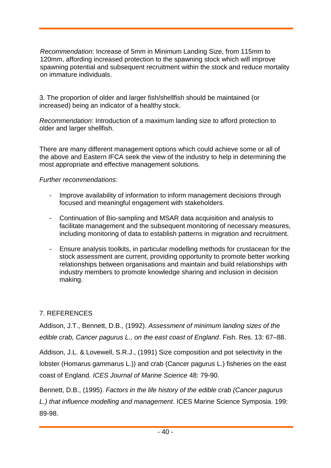*Recommendation*: Increase of 5mm in Minimum Landing Size, from 115mm to 120mm, affording increased protection to the spawning stock which will improve spawning potential and subsequent recruitment within the stock and reduce mortality on immature individuals.

3. The proportion of older and larger fish/shellfish should be maintained (or increased) being an indicator of a healthy stock.

*Recommendation*: Introduction of a maximum landing size to afford protection to older and larger shellfish.

There are many different management options which could achieve some or all of the above and Eastern IFCA seek the view of the industry to help in determining the most appropriate and effective management solutions.

#### *Further recommendations*:

- Improve availability of information to inform management decisions through focused and meaningful engagement with stakeholders.
- Continuation of Bio-sampling and MSAR data acquisition and analysis to facilitate management and the subsequent monitoring of necessary measures, including monitoring of data to establish patterns in migration and recruitment.
- Ensure analysis toolkits, in particular modelling methods for crustacean for the stock assessment are current, providing opportunity to promote better working relationships between organisations and maintain and build relationships with industry members to promote knowledge sharing and inclusion in decision making.

# 7. REFERENCES

Addison, J.T., Bennett, D.B., (1992). *Assessment of minimum landing sizes of the edible crab, Cancer pagurus L., on the east coast of England*. Fish. Res. 13: 67–88.

Addison, J.L. & Lovewell, S.R.J., (1991) Size composition and pot selectivity in the lobster (Homarus gammarus L.)) and crab (Cancer pagurus L.) fisheries on the east coast of England*. ICES Journal of Marine Science* 48: 79-90.

Bennett, D.B., (1995). *Factors in the life history of the edible crab (Cancer pagurus L.) that influence modelling and management*. ICES Marine Science Symposia. 199: 89-98.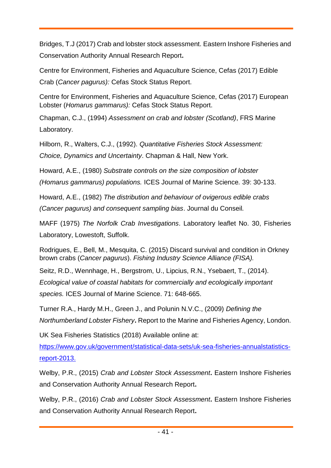Bridges, T.J (2017) Crab and lobster stock assessment. Eastern Inshore Fisheries and Conservation Authority Annual Research Report**.** 

Centre for Environment, Fisheries and Aquaculture Science, Cefas (2017) Edible Crab (*Cancer pagurus):* Cefas Stock Status Report.

Centre for Environment, Fisheries and Aquaculture Science, Cefas (2017) European Lobster (*Homarus gammarus):* Cefas Stock Status Report.

Chapman, C.J., (1994) *Assessment on crab and lobster (Scotland)*, FRS Marine Laboratory.

Hilborn, R., Walters, C.J., (1992). *Quantitative Fisheries Stock Assessment: Choice, Dynamics and Uncertainty*. Chapman & Hall, New York.

Howard, A.E., (1980) *Substrate controls on the size composition of lobster* 

*(Homarus gammarus) populations.* ICES Journal of Marine Science*.* 39: 30-133.

Howard, A.E., (1982) *The distribution and behaviour of ovigerous edible crabs* 

*(Cancer pagurus) and consequent sampling bias*. Journal du Conseil*.* 

MAFF (1975) *The Norfolk Crab Investigations*. Laboratory leaflet No. 30, Fisheries Laboratory, Lowestoft, Suffolk.

Rodrigues, E., Bell, M., Mesquita, C. (2015) Discard survival and condition in Orkney brown crabs (*Cancer pagurus*). *Fishing Industry Science Alliance (FISA).* 

Seitz, R.D., Wennhage, H., Bergstrom, U., Lipcius, R.N., Ysebaert, T., (2014). *Ecological value of coastal habitats for commercially and ecologically important species.* ICES Journal of Marine Science. 71: 648-665.

Turner R.A., Hardy M.H., Green J., and Polunin N.V.C., (2009) *Defining the Northumberland Lobster Fishery***.** Report to the Marine and Fisheries Agency, London.

UK Sea Fisheries Statistics (2018) Available online at:

[https://www.gov.uk/government/statistical-data-sets/uk-sea-fisheries-annualstatistics](https://www.gov.uk/government/statistical-data-sets/uk-sea-fisheries-annual-statistics-report-2013)[report-2013.](https://www.gov.uk/government/statistical-data-sets/uk-sea-fisheries-annual-statistics-report-2013)

Welby, P.R., (2015) *Crab and Lobster Stock Assessment***.** Eastern Inshore Fisheries and Conservation Authority Annual Research Report**.** 

Welby, P.R., (2016) *Crab and Lobster Stock Assessment***.** Eastern Inshore Fisheries and Conservation Authority Annual Research Report**.**